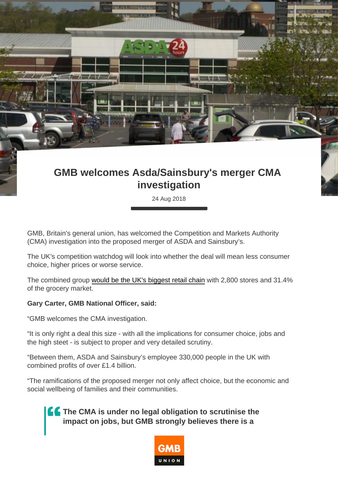## GMB welcomes Asda/Sainsbury's merger CMA investigation

24 Aug 2018

GMB, Britain's general union, has welcomed the Competition and Markets Authority (CMA) investigation into the proposed merger of ASDA and Sainsbury's.

The UK's competition watchdog will look into whether the deal will mean less consumer choice, higher prices or worse service.

The combined group [would be the UK's biggest retail chain](https://www.bbc.co.uk/news/business-45284885) with 2,800 stores and 31.4% of the grocery market.

Gary Carter, GMB National Officer, said:

"GMB welcomes the CMA investigation.

"It is only right a deal this size - with all the implications for consumer choice, jobs and the high steet - is subject to proper and very detailed scrutiny.

"Between them, ASDA and Sainsbury's employee 330,000 people in the UK with combined profits of over £1.4 billion.

"The ramifications of the proposed merger not only affect choice, but the economic and social wellbeing of families and their communities.

> The CMA is under no legal obligation to scrutinise the impact on jobs, but GMB strongly believes there is a